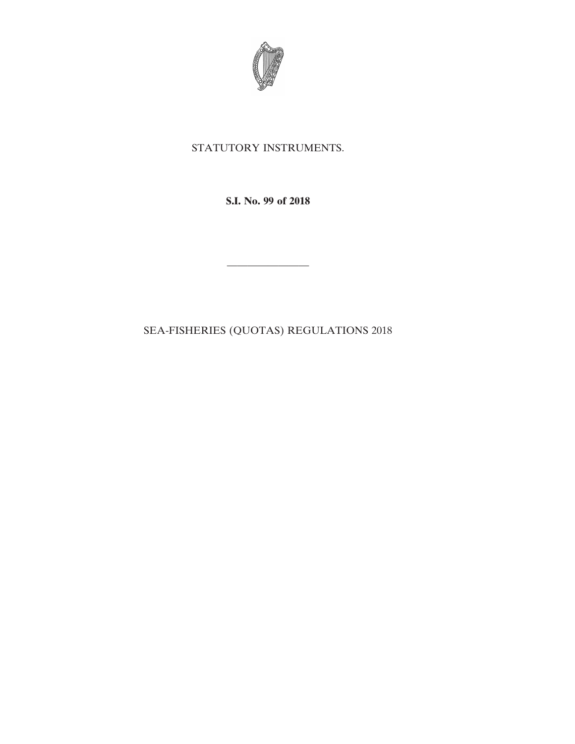

## STATUTORY INSTRUMENTS.

**S.I. No. 99 of 2018**

SEA-FISHERIES (QUOTAS) REGULATIONS 2018

————————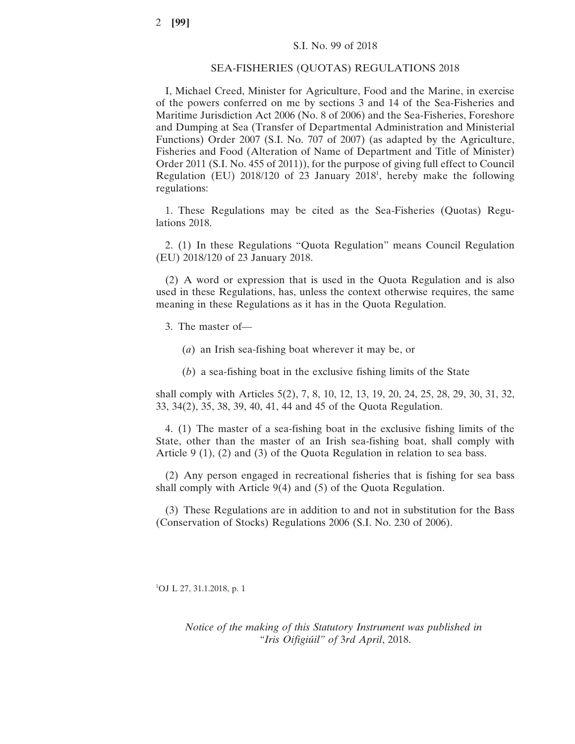## SEA-FISHERIES (QUOTAS) REGULATIONS 2018

I, Michael Creed, Minister for Agriculture, Food and the Marine, in exercise of the powers conferred on me by sections 3 and 14 of the Sea-Fisheries and Maritime Jurisdiction Act 2006 (No. 8 of 2006) and the Sea-Fisheries, Foreshore and Dumping at Sea (Transfer of Departmental Administration and Ministerial Functions) Order 2007 (S.I. No. 707 of 2007) (as adapted by the Agriculture, Fisheries and Food (Alteration of Name of Department and Title of Minister) Order 2011 (S.I. No. 455 of 2011)), for the purpose of giving full effect to Council Regulation (EU) 2018/120 of 23 January 2018<sup>1</sup>, hereby make the following regulations:

1. These Regulations may be cited as the Sea-Fisheries (Quotas) Regulations 2018.

2. (1) In these Regulations "Quota Regulation" means Council Regulation (EU) 2018/120 of 23 January 2018.

(2) A word or expression that is used in the Quota Regulation and is also used in these Regulations, has, unless the context otherwise requires, the same meaning in these Regulations as it has in the Quota Regulation.

3. The master of—

- (*a*) an Irish sea-fishing boat wherever it may be, or
- (*b*) a sea-fishing boat in the exclusive fishing limits of the State

shall comply with Articles 5(2), 7, 8, 10, 12, 13, 19, 20, 24, 25, 28, 29, 30, 31, 32, 33, 34(2), 35, 38, 39, 40, 41, 44 and 45 of the Quota Regulation.

4. (1) The master of a sea-fishing boat in the exclusive fishing limits of the State, other than the master of an Irish sea-fishing boat, shall comply with Article 9 (1), (2) and (3) of the Quota Regulation in relation to sea bass.

(2) Any person engaged in recreational fisheries that is fishing for sea bass shall comply with Article 9(4) and (5) of the Quota Regulation.

(3) These Regulations are in addition to and not in substitution for the Bass (Conservation of Stocks) Regulations 2006 (S.I. No. 230 of 2006).

1 OJ L 27, 31.1.2018, p. 1

*Notice of the making of this Statutory Instrument was published in "Iris Oifigiúil" of* 3*rd April*, 2018.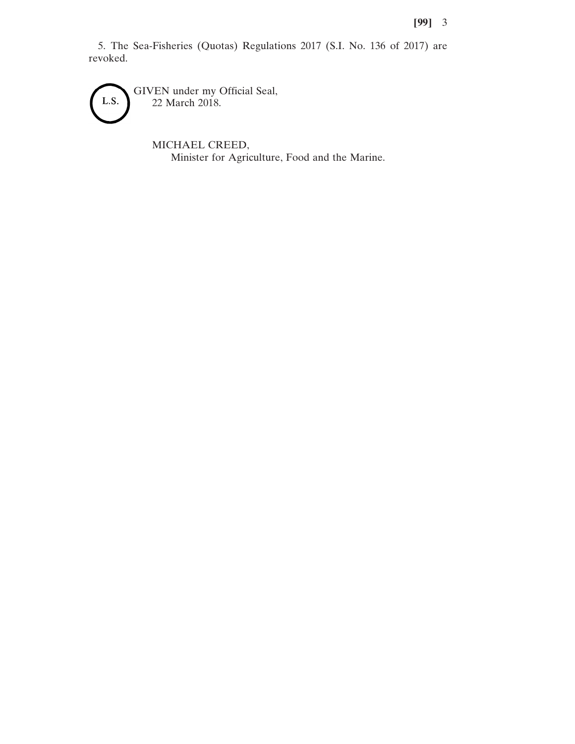5. The Sea-Fisheries (Quotas) Regulations 2017 (S.I. No. 136 of 2017) are revoked.

GIVEN under my Official Seal, L.S. 22 March 2018.

> MICHAEL CREED, Minister for Agriculture, Food and the Marine.